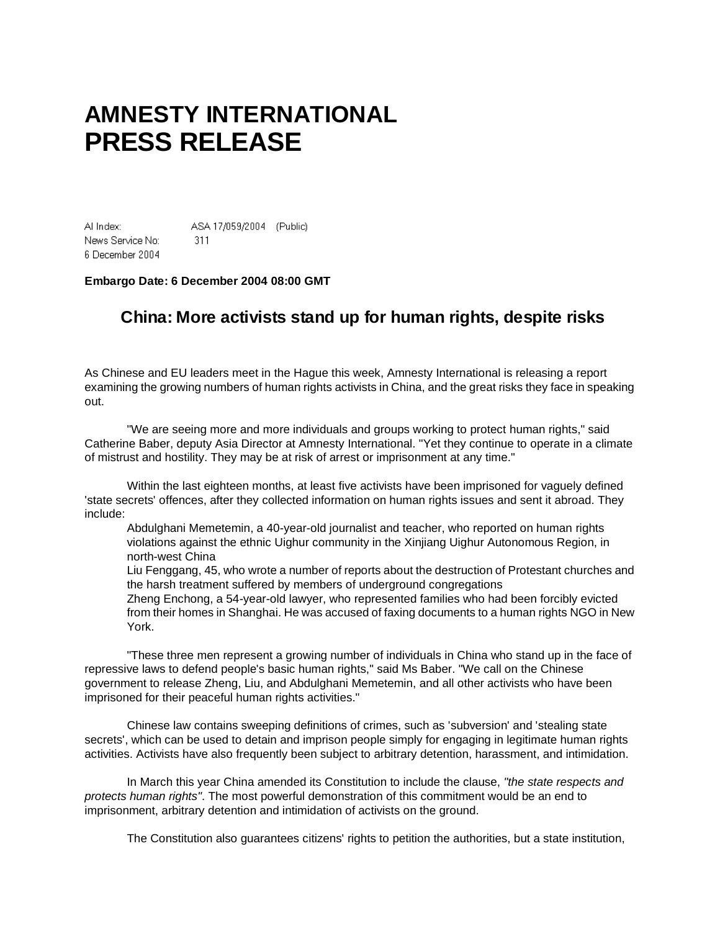## **AMNESTY INTERNATIONAL PRESS RELEASE**

Al Index: ASA 17/059/2004 (Public) News Service No:  $-311$ 6 December 2004

## **Embargo Date: 6 December 2004 08:00 GMT**

## **China: More activists stand up for human rights, despite risks**

As Chinese and EU leaders meet in the Hague this week, Amnesty International is releasing a report examining the growing numbers of human rights activists in China, and the great risks they face in speaking out.

"We are seeing more and more individuals and groups working to protect human rights," said Catherine Baber, deputy Asia Director at Amnesty International. "Yet they continue to operate in a climate of mistrust and hostility. They may be at risk of arrest or imprisonment at any time."

Within the last eighteen months, at least five activists have been imprisoned for vaguely defined 'state secrets' offences, after they collected information on human rights issues and sent it abroad. They include:

Abdulghani Memetemin, a 40-year-old journalist and teacher, who reported on human rights violations against the ethnic Uighur community in the Xinjiang Uighur Autonomous Region, in north-west China

Liu Fenggang, 45, who wrote a number of reports about the destruction of Protestant churches and the harsh treatment suffered by members of underground congregations

Zheng Enchong, a 54-year-old lawyer, who represented families who had been forcibly evicted from their homes in Shanghai. He was accused of faxing documents to a human rights NGO in New York.

"These three men represent a growing number of individuals in China who stand up in the face of repressive laws to defend people's basic human rights," said Ms Baber. "We call on the Chinese government to release Zheng, Liu, and Abdulghani Memetemin, and all other activists who have been imprisoned for their peaceful human rights activities."

Chinese law contains sweeping definitions of crimes, such as 'subversion' and 'stealing state secrets', which can be used to detain and imprison people simply for engaging in legitimate human rights activities. Activists have also frequently been subject to arbitrary detention, harassment, and intimidation.

In March this year China amended its Constitution to include the clause, *"the state respects and protects human rights"*. The most powerful demonstration of this commitment would be an end to imprisonment, arbitrary detention and intimidation of activists on the ground.

The Constitution also guarantees citizens' rights to petition the authorities, but a state institution,